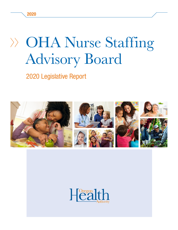### OHA Nurse Staffing Advisory Board OHA Nurse Staffin Advisory B

2020 Legislative Report Tugitat uscialista este este este extensionale un este este este este establecen este este establecen el contr<br>Desenvolver en la bien de la bien de la bien de la bien de la bien de la bien de la bien de la bien de la bien LULU LUGIUIDI I TUPUI I



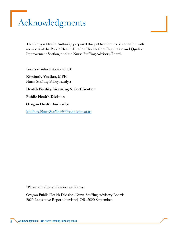# <span id="page-1-0"></span>Acknowledgments

The Oregon Health Authority prepared this publication in collaboration with members of the Public Health Division Health Care Regulation and Quality Improvement Section, and the Nurse Staffing Advisory Board.

For more information contact:

Kimberly Voelker, MPH Nurse Staffing Policy Analyst

Health Facility Licensing & Certification

Public Health Division

Oregon Health Authority

[Mailbox.NurseStaffing@dhsoha.state.or.us](mailto:Mailbox.NurseStaffing%40dhsoha.state.or.us?subject=)

\*Please cite this publication as follows:

Oregon Public Health Division. Nurse Staffing Advisory Board: 2020 Legislative Report. Portland, OR. 2020 September.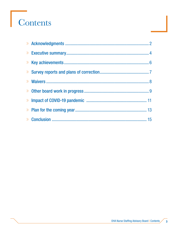# Contents

| <b>Example 20 Yields</b> 20 Yields 20 Yields 20 Yields 20 Yields 20 Yields 20 Yields 20 Yields 20 Yields 20 Yields 20 Yields 20 Yields 20 Yields 20 Yields 20 Yields 20 Yields 20 Yields 20 Yields 20 Yields 20 Yields 20 Yields 2 |  |
|------------------------------------------------------------------------------------------------------------------------------------------------------------------------------------------------------------------------------------|--|
|                                                                                                                                                                                                                                    |  |
|                                                                                                                                                                                                                                    |  |
|                                                                                                                                                                                                                                    |  |
|                                                                                                                                                                                                                                    |  |
|                                                                                                                                                                                                                                    |  |
|                                                                                                                                                                                                                                    |  |

 $\overline{\mathbf{3}}$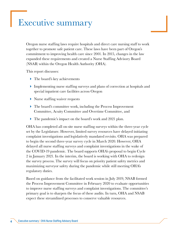### <span id="page-3-0"></span>Executive summary

Oregon nurse staffing laws require hospitals and direct care nursing staff to work together to promote safe patient care. These laws have been part of Oregon's commitment to improving health care since 2001. In 2015, changes in the law expanded these requirements and created a Nurse Staffing Advisory Board (NSAB) within the Oregon Health Authority (OHA).

This report discusses:

- ▶ The board's key achievements
- Implementing nurse staffing surveys and plans of correction at hospitals and special inpatient care facilities across Oregon
- Nurse staffing waiver requests
- The board's committee work, including the Process Improvement Committee, Acuity Committee and Overtime Committee, and
- The pandemic's impact on the board's work and 2021 plan.

OHA has completed all on-site nurse staffing surveys within the three-year cycle set by the Legislature. However, limited survey resources have delayed initiating complaint investigations and legislatively mandated revisits. OHA was prepared to begin the second three-year survey cycle in March 2020. However, OHA delayed all nurse staffing surveys and complaint investigations in the wake of the COVID-19 pandemic. The board supports OHA's proposal to begin Cycle 2 in January 2021. In the interim, the board is working with OHA to redesign the survey process. The survey will focus on priority patient safety metrics and maximizing surveyor safety during the pandemic while still meeting OHA's regulatory duties.

Based on guidance from the facilitated work session in July 2019, NSAB formed the Process Improvement Committee in February 2020 to evaluate opportunities to improve nurse staffing surveys and complaint investigations. The committee's primary goal is to sharpen the focus of these audits. In turn, OHA and NSAB expect these streamlined processes to conserve valuable resources.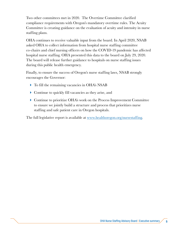Two other committees met in 2020. The Overtime Committee clarified compliance requirements with Oregon's mandatory overtime rules. The Acuity Committee is creating guidance on the evaluation of acuity and intensity in nurse staffing plans.

OHA continues to receive valuable input from the board. In April 2020, NSAB asked OHA to collect information from hospital nurse staffing committee co-chairs and chief nursing officers on how the COVID-19 pandemic has affected hospital nurse staffing. OHA presented this data to the board on July 29, 2020. The board will release further guidance to hospitals on nurse staffing issues during this public health emergency.

Finally, to ensure the success of Oregon's nurse staffing laws, NSAB strongly encourages the Governor:

- To fill the remaining vacancies in OHA's NSAB
- Continue to quickly fill vacancies as they arise, and
- Continue to prioritize OHA's work on the Process Improvement Committee to ensure we jointly build a structure and process that prioritizes nurse staffing and safe patient care in Oregon hospitals.

The full legislative report is available at [www.healthoregon.org/nursestaffing.](https://www.oregon.gov/OHA/PH/ProviderPartnerResources/HealthcareProvidersFacilities/HealthcareHealthCareRegulationQualityImprovement/Pages/nursestaffing.aspx)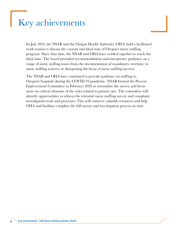### <span id="page-5-0"></span>Key achievements

In July 2019, the NSAB and the Oregon Health Authority (OHA) held a facilitated work session to discuss the current and ideal state of Oregon's nurse staffing program. Since that time, the NSAB and OHA have worked together to reach the ideal state. The board provided recommendations and interpretive guidance on a range of nurse staffing issues from the documentation of mandatory overtime, to nurse staffing waivers, to sharpening the focus of nurse staffing surveys.

The NSAB and OHA have continued to provide guidance on staffing to Oregon's hospitals during the COVID-19 pandemic. NSAB formed the Process Improvement Committee in February 2020 to streamline the survey and focus more on critical elements of the rules related to patient care. The committee will identify opportunities to refocus the triennial nurse staffing survey and complaint investigation tools and processes. This will conserve valuable resources and help OHA and facilities complete the full survey and investigation process on time.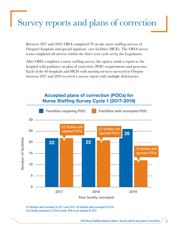# <span id="page-6-0"></span>Survey reports and plans of correction

Between 2017 and 2019, OHA completed 70 on-site nurse staffing surveys of Oregon's hospitals and special inpatient care facilities (SICFs). The OHA survey team completed all surveys within the three-year cycle set by the Legislature.

After OHA completes a nurse staffing survey, the agency sends a report to the hospital with guidance on plan of correction (POC) requirements and processes. Each of the 69 hospitals and SICFs with nursing services surveyed in Oregon between 2017 and 2019 received a survey report with multiple deficiencies.



22 facilities were surveyed in 2017 and 2018; 26 facilities were surveyed in 2019. One facility (surveyed in 2019) closed; OHA is not seeking its POC.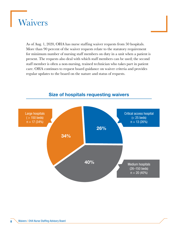<span id="page-7-0"></span>

As of Aug. 1, 2020, OHA has nurse staffing waiver requests from 50 hospitals. More than 90 percent of the waiver requests relate to the statutory requirement for minimum number of nursing staff members on duty in a unit when a patient is present. The requests also deal with which staff members can be used; the second staff member is often a non-nursing, trained technician who takes part in patient care. OHA continues to request board guidance on waiver criteria and provides regular updates to the board on the nature and status of requests.



#### Size of hospitals requesting waivers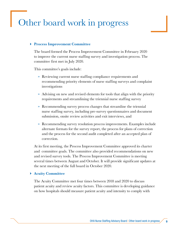### <span id="page-8-0"></span>Other board work in progress

#### Process Improvement Committee

The board formed the Process Improvement Committee in February 2020 to improve the current nurse staffing survey and investigation process. The committee first met in July 2020.

This committee's goals include:

- » Reviewing current nurse staffing compliance requirements and recommending priority elements of nurse staffing surveys and complaint investigations
- » Advising on new and revised elements for tools that align with the priority requirements and streamlining the triennial nurse staffing survey
- » Recommending survey process changes that streamline the triennial nurse staffing survey, including pre-survey questionnaires and document submission, onsite review activities and exit interviews, and
- » Recommending survey resolution process improvements. Examples include alternate formats for the survey report, the process for plans of correction and the process for the second audit completed after an accepted plan of correction.

At its first meeting, the Process Improvement Committee approved its charter and committee goals. The committee also provided recommendations on new and revised survey tools. The Process Improvement Committee is meeting several times between August and October. It will provide significant updates at the next meeting of the full board in October 2020.

#### Acuity Committee

The Acuity Committee met four times between 2018 and 2020 to discuss patient acuity and review acuity factors. This committee is developing guidance on how hospitals should measure patient acuity and intensity to comply with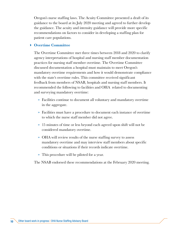Oregon's nurse staffing laws. The Acuity Committee presented a draft of its guidance to the board at its July 2020 meeting and agreed to further develop the guidance. The acuity and intensity guidance will provide more specific recommendations on factors to consider in developing a staffing plan for patient care populations.

#### Overtime Committee

The Overtime Committee met three times between 2018 and 2020 to clarify agency interpretations of hospital and nursing staff member documentation practices for nursing staff member overtime. The Overtime Committee discussed documentation a hospital must maintain to meet Oregon's mandatory overtime requirements and how it would demonstrate compliance with the state's overtime rules. This committee received significant feedback from members of NSAB, hospitals and nursing staff members. It recommended the following to facilities and OHA related to documenting and surveying mandatory overtime:

- » Facilities continue to document all voluntary and mandatory overtime in the aggregate.
- » Facilities must have a procedure to document each instance of overtime to which the nurse staff member did not agree.
- » 15 minutes of time or less beyond each agreed upon shift will not be considered mandatory overtime.
- » OHA will review results of the nurse staffing survey to assess mandatory overtime and may interview staff members about specific conditions or situations if their records indicate overtime.
- » This procedure will be piloted for a year.

The NSAB endorsed these recommendations at the February 2020 meeting.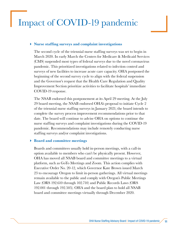### <span id="page-10-0"></span>Impact of COVID-19 pandemic

#### Nurse staffing surveys and complaint investigations

The second cycle of the triennial nurse staffing surveys was set to begin in March 2020. In early March the Centers for Medicare & Medicaid Services (CMS) suspended most types of federal surveys due to the novel coronavirus pandemic. This prioritized investigations related to infection control and surveys of new facilities to increase acute care capacity. OHA postponed the beginning of the second survey cycle to align with the federal suspension and the Governor's request that the Health Care Regulation and Quality Improvement Section prioritize activities to facilitate hospitals' immediate COVID-19 response.

The NSAB endorsed this postponement at its April 29 meeting. At the July 29 board meeting, the NSAB endorsed OHA's proposal to initiate Cycle 2 of the triennial nurse staffing surveys in January 2021; the board intends to complete the survey process improvement recommendations prior to that date. The board will continue to advise OHA on options to continue the nurse staffing surveys and complaint investigations during the COVID-19 pandemic. Recommendations may include remotely conducting nurse staffing surveys and/or complaint investigations.

#### Board and committee meetings

Boards and committees usually hold in-person meetings, with a call-in option available to members who can't be physically present. However, OHA has moved all NSAB board and committee meetings to a virtual platform, such as GoTo Meetings and Zoom. This action complies with Executive Order No. 20-12, which Governor Kate Brown issued March 23 to encourage Oregon to limit in-person gatherings. All virtual meetings remain available to the public and comply with Oregon's Public Meetings Law (ORS 192.610 through 102.710) and Public Records Laws (ORS 192.001 through 192.505). OHA and the board plan to hold all NSAB board and committee meetings virtually through December 2020.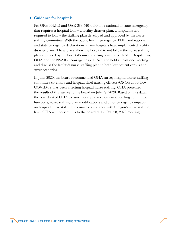#### Guidance for hospitals

Per ORS 441.165 and OAR 333-510-0140, in a national or state emergency that requires a hospital follow a facility disaster plan, a hospital is not required to follow the staffing plan developed and approved by the nurse staffing committee. With the public health emergency (PHE) and national and state emergency declarations, many hospitals have implemented facility disaster plans. These plans allow the hospital to not follow the nurse staffing plan approved by the hospital's nurse staffing committee (NSC). Despite this, OHA and the NSAB encourage hospital NSCs to hold at least one meeting and discuss the facility's nurse staffing plan in both low patient census and surge scenarios.

In June 2020, the board recommended OHA survey hospital nurse staffing committee co-chairs and hospital chief nursing officers (CNOs) about how COVID-19 has been affecting hospital nurse staffing. OHA presented the results of this survey to the board on July 29, 2020. Based on this data, the board asked OHA to issue more guidance on nurse staffing committee functions, nurse staffing plan modifications and other emergency impacts on hospital nurse staffing to ensure compliance with Oregon's nurse staffing laws. OHA will present this to the board at its Oct. 28, 2020 meeting.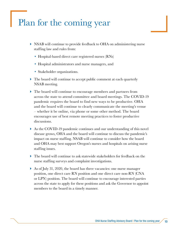### <span id="page-12-0"></span>Plan for the coming year

- NSAB will continue to provide feedback to OHA on administering nurse staffing law and rules from:
	- Hospital-based direct care registered nurses (RNs)
	- Hospital administrators and nurse managers, and
	- Stakeholder organizations.
- The board will continue to accept public comment at each quarterly NSAB meeting.
- The board will continue to encourage members and partners from across the state to attend committee and board meetings. The COVID-19 pandemic requires the board to find new ways to be productive. OHA and the board will continue to clearly communicate the meeting's venue – whether it be online, via phone or some other method. The board encourages use of best remote meeting practices to foster productive discussions.
- As the COVID-19 pandemic continues and our understanding of this novel disease grows, OHA and the board will continue to discuss the pandemic's impact on nurse staffing. NSAB will continue to consider how the board and OHA may best support Oregon's nurses and hospitals on arising nurse staffing issues.
- The board will continue to ask statewide stakeholders for feedback on the nurse staffing surveys and complaint investigations.
- As of July 31, 2020, the board has three vacancies: one nurse manager position, one direct care RN position and one direct care non-RN (CNA or LPN) position. The board will continue to encourage interested parties across the state to apply for these positions and ask the Governor to appoint members to the board in a timely manner.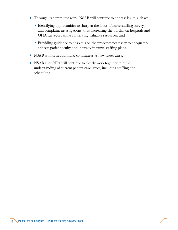- Through its committee work, NSAB will continue to address issues such as:
	- Identifying opportunities to sharpen the focus of nurse staffing surveys and complaint investigations, thus decreasing the burden on hospitals and OHA surveyors while conserving valuable resources, and
	- Providing guidance to hospitals on the processes necessary to adequately address patient acuity and intensity in nurse staffing plans.
- NSAB will form additional committees as new issues arise.
- NSAB and OHA will continue to closely work together to build understanding of current patient care issues, including staffing and scheduling.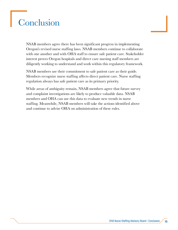# <span id="page-14-0"></span>Conclusion

NSAB members agree there has been significant progress in implementing Oregon's revised nurse staffing laws. NSAB members continue to collaborate with one another and with OHA staff to ensure safe patient care. Stakeholder interest proves Oregon hospitals and direct care nursing staff members are diligently working to understand and work within this regulatory framework.

NSAB members use their commitment to safe patient care as their guide. Members recognize nurse staffing affects direct patient care. Nurse staffing regulation always has safe patient care as its primary priority.

While areas of ambiguity remain, NSAB members agree that future survey and complaint investigations are likely to produce valuable data. NSAB members and OHA can use this data to evaluate new trends in nurse staffing. Meanwhile, NSAB members will take the actions identified above and continue to advise OHA on administration of these rules.